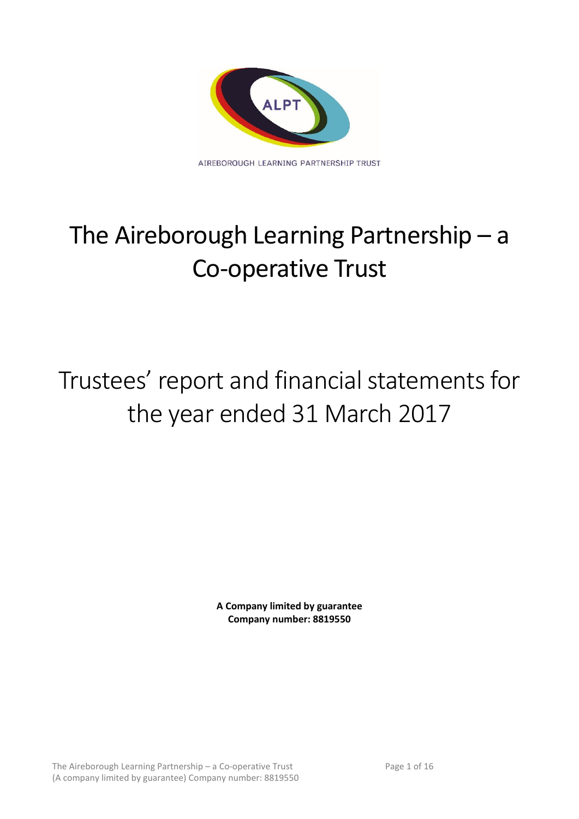

# The Aireborough Learning Partnership – a Co-operative Trust

# Trustees' report and financial statements for the year ended 31 March 2017

**A Company limited by guarantee Company number: 8819550**

The Aireborough Learning Partnership – a Co-operative Trust Page 1 of 16 16 (A company limited by guarantee) Company number: 8819550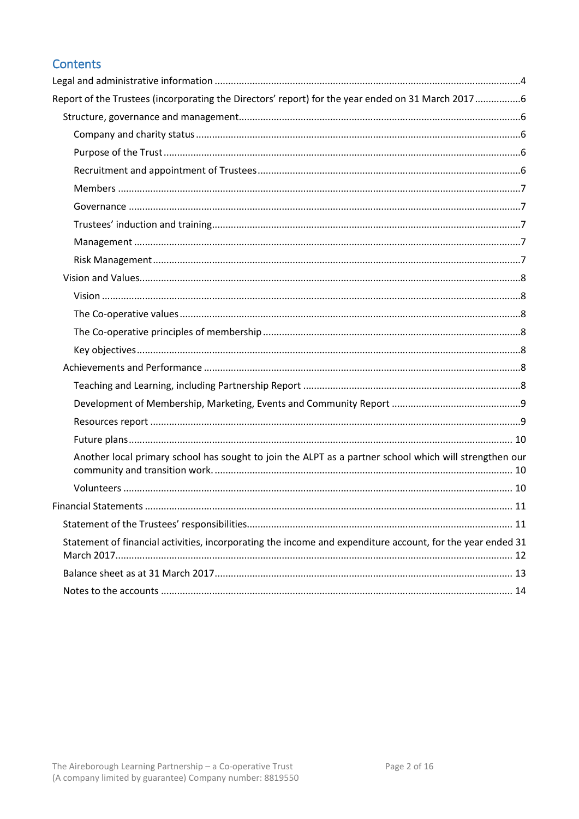## Contents

| Report of the Trustees (incorporating the Directors' report) for the year ended on 31 March 20176          |
|------------------------------------------------------------------------------------------------------------|
|                                                                                                            |
|                                                                                                            |
|                                                                                                            |
|                                                                                                            |
|                                                                                                            |
|                                                                                                            |
|                                                                                                            |
|                                                                                                            |
|                                                                                                            |
|                                                                                                            |
|                                                                                                            |
|                                                                                                            |
|                                                                                                            |
|                                                                                                            |
|                                                                                                            |
|                                                                                                            |
|                                                                                                            |
|                                                                                                            |
|                                                                                                            |
| Another local primary school has sought to join the ALPT as a partner school which will strengthen our     |
|                                                                                                            |
|                                                                                                            |
|                                                                                                            |
| Statement of financial activities, incorporating the income and expenditure account, for the year ended 31 |
|                                                                                                            |
|                                                                                                            |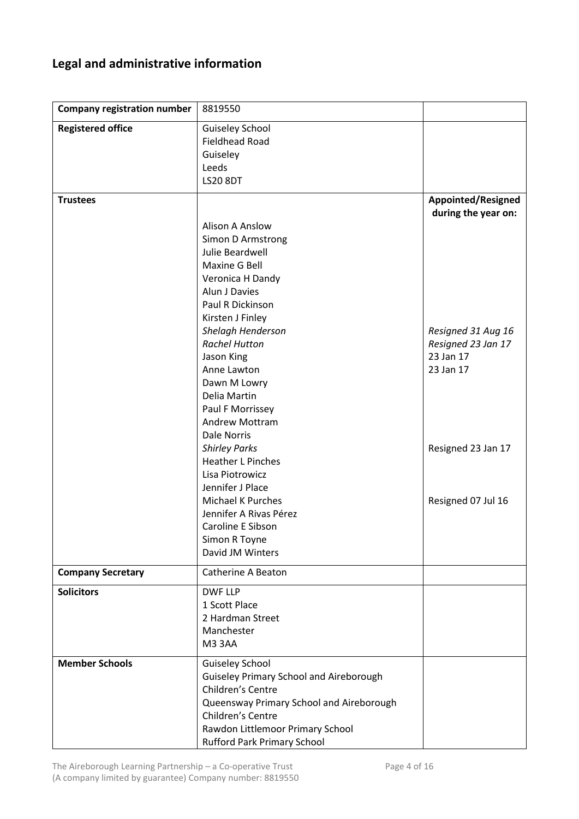# <span id="page-3-0"></span>**Legal and administrative information**

| <b>Company registration number</b> | 8819550                                                                                                                                                                                                                                  |                                                                    |
|------------------------------------|------------------------------------------------------------------------------------------------------------------------------------------------------------------------------------------------------------------------------------------|--------------------------------------------------------------------|
| <b>Registered office</b>           | <b>Guiseley School</b><br><b>Fieldhead Road</b><br>Guiseley<br>Leeds<br><b>LS20 8DT</b>                                                                                                                                                  |                                                                    |
| <b>Trustees</b>                    | <b>Alison A Anslow</b><br><b>Simon D Armstrong</b><br>Julie Beardwell<br>Maxine G Bell<br>Veronica H Dandy<br>Alun J Davies<br>Paul R Dickinson<br>Kirsten J Finley                                                                      | <b>Appointed/Resigned</b><br>during the year on:                   |
|                                    | Shelagh Henderson<br><b>Rachel Hutton</b><br>Jason King<br>Anne Lawton<br>Dawn M Lowry<br>Delia Martin<br>Paul F Morrissey<br><b>Andrew Mottram</b><br>Dale Norris                                                                       | Resigned 31 Aug 16<br>Resigned 23 Jan 17<br>23 Jan 17<br>23 Jan 17 |
|                                    | <b>Shirley Parks</b><br><b>Heather L Pinches</b><br>Lisa Piotrowicz<br>Jennifer J Place<br><b>Michael K Purches</b><br>Jennifer A Rivas Pérez<br>Caroline E Sibson<br>Simon R Toyne<br>David JM Winters                                  | Resigned 23 Jan 17<br>Resigned 07 Jul 16                           |
| <b>Company Secretary</b>           | <b>Catherine A Beaton</b>                                                                                                                                                                                                                |                                                                    |
| <b>Solicitors</b>                  | <b>DWF LLP</b><br>1 Scott Place<br>2 Hardman Street<br>Manchester<br><b>M33AA</b>                                                                                                                                                        |                                                                    |
| <b>Member Schools</b>              | <b>Guiseley School</b><br><b>Guiseley Primary School and Aireborough</b><br>Children's Centre<br>Queensway Primary School and Aireborough<br>Children's Centre<br>Rawdon Littlemoor Primary School<br><b>Rufford Park Primary School</b> |                                                                    |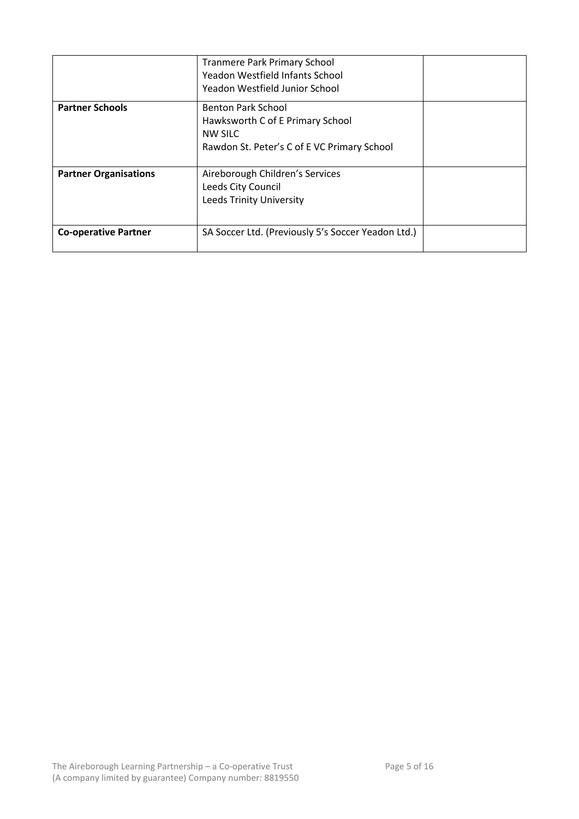|                              | <b>Tranmere Park Primary School</b><br>Yeadon Westfield Infants School<br>Yeadon Westfield Junior School                |  |
|------------------------------|-------------------------------------------------------------------------------------------------------------------------|--|
| <b>Partner Schools</b>       | <b>Benton Park School</b><br>Hawksworth C of E Primary School<br>NW SILC<br>Rawdon St. Peter's C of E VC Primary School |  |
| <b>Partner Organisations</b> | Aireborough Children's Services<br>Leeds City Council<br><b>Leeds Trinity University</b>                                |  |
| <b>Co-operative Partner</b>  | SA Soccer Ltd. (Previously 5's Soccer Yeadon Ltd.)                                                                      |  |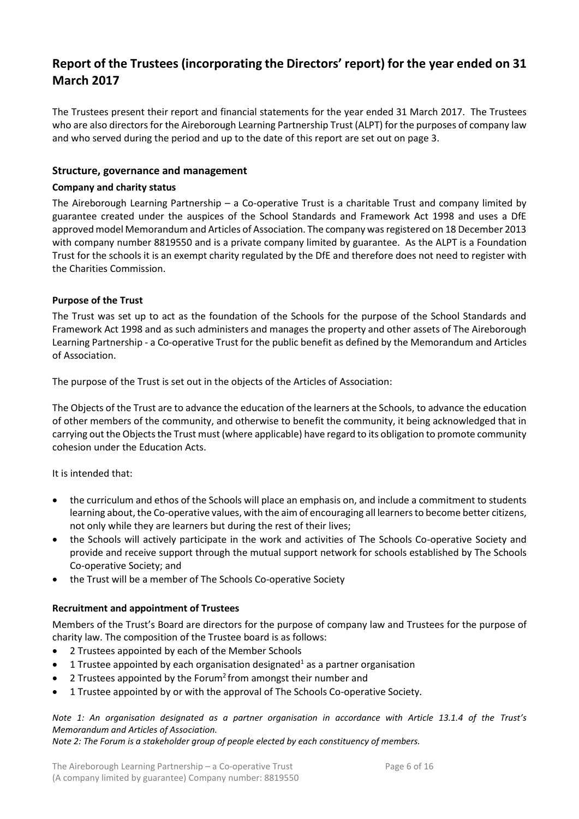### <span id="page-5-0"></span>**Report of the Trustees (incorporating the Directors' report) for the year ended on 31 March 2017**

The Trustees present their report and financial statements for the year ended 31 March 2017. The Trustees who are also directors for the Aireborough Learning Partnership Trust (ALPT) for the purposes of company law and who served during the period and up to the date of this report are set out on page 3.

#### <span id="page-5-1"></span>**Structure, governance and management**

#### <span id="page-5-2"></span>**Company and charity status**

The Aireborough Learning Partnership – a Co-operative Trust is a charitable Trust and company limited by guarantee created under the auspices of the School Standards and Framework Act 1998 and uses a DfE approved model Memorandum and Articles of Association. The company was registered on 18 December 2013 with company number 8819550 and is a private company limited by guarantee. As the ALPT is a Foundation Trust for the schools it is an exempt charity regulated by the DfE and therefore does not need to register with the Charities Commission.

#### <span id="page-5-3"></span>**Purpose of the Trust**

The Trust was set up to act as the foundation of the Schools for the purpose of the School Standards and Framework Act 1998 and as such administers and manages the property and other assets of The Aireborough Learning Partnership - a Co-operative Trust for the public benefit as defined by the Memorandum and Articles of Association.

The purpose of the Trust is set out in the objects of the Articles of Association:

The Objects of the Trust are to advance the education of the learners at the Schools, to advance the education of other members of the community, and otherwise to benefit the community, it being acknowledged that in carrying out the Objects the Trust must (where applicable) have regard to its obligation to promote community cohesion under the Education Acts.

It is intended that:

- the curriculum and ethos of the Schools will place an emphasis on, and include a commitment to students learning about, the Co-operative values, with the aim of encouraging all learners to become better citizens, not only while they are learners but during the rest of their lives;
- the Schools will actively participate in the work and activities of The Schools Co-operative Society and provide and receive support through the mutual support network for schools established by The Schools Co-operative Society; and
- the Trust will be a member of The Schools Co-operative Society

#### <span id="page-5-4"></span>**Recruitment and appointment of Trustees**

Members of the Trust's Board are directors for the purpose of company law and Trustees for the purpose of charity law. The composition of the Trustee board is as follows:

- 2 Trustees appointed by each of the Member Schools
- 1 Trustee appointed by each organisation designated<sup>1</sup> as a partner organisation
- 2 Trustees appointed by the Forum<sup>2</sup> from amongst their number and
- 1 Trustee appointed by or with the approval of The Schools Co-operative Society.

#### *Note 1: An organisation designated as a partner organisation in accordance with Article 13.1.4 of the Trust's Memorandum and Articles of Association.*

*Note 2: The Forum is a stakeholder group of people elected by each constituency of members.*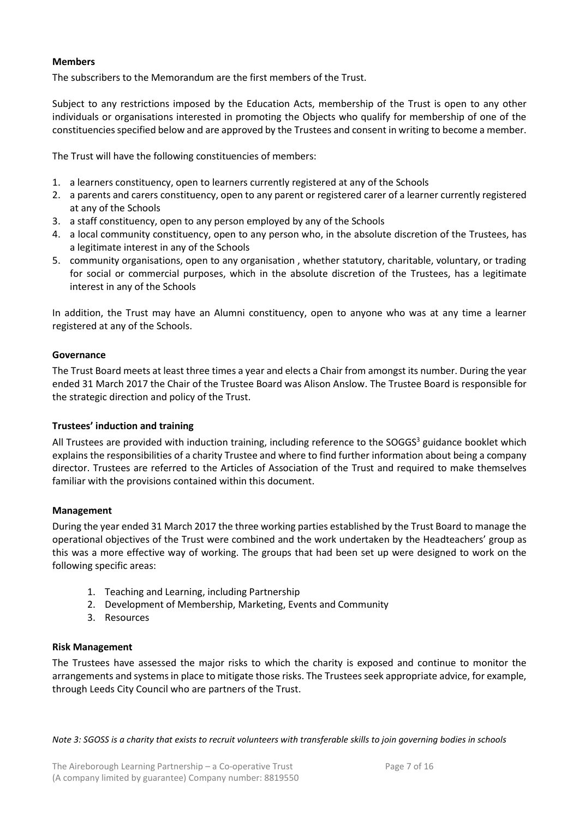#### <span id="page-6-0"></span>**Members**

The subscribers to the Memorandum are the first members of the Trust.

Subject to any restrictions imposed by the Education Acts, membership of the Trust is open to any other individuals or organisations interested in promoting the Objects who qualify for membership of one of the constituencies specified below and are approved by the Trustees and consent in writing to become a member.

The Trust will have the following constituencies of members:

- 1. a learners constituency, open to learners currently registered at any of the Schools
- 2. a parents and carers constituency, open to any parent or registered carer of a learner currently registered at any of the Schools
- 3. a staff constituency, open to any person employed by any of the Schools
- 4. a local community constituency, open to any person who, in the absolute discretion of the Trustees, has a legitimate interest in any of the Schools
- 5. community organisations, open to any organisation , whether statutory, charitable, voluntary, or trading for social or commercial purposes, which in the absolute discretion of the Trustees, has a legitimate interest in any of the Schools

In addition, the Trust may have an Alumni constituency, open to anyone who was at any time a learner registered at any of the Schools.

#### <span id="page-6-1"></span>**Governance**

The Trust Board meets at least three times a year and elects a Chair from amongst its number. During the year ended 31 March 2017 the Chair of the Trustee Board was Alison Anslow. The Trustee Board is responsible for the strategic direction and policy of the Trust.

#### <span id="page-6-2"></span>**Trustees' induction and training**

All Trustees are provided with induction training, including reference to the SOGGS<sup>3</sup> guidance booklet which explains the responsibilities of a charity Trustee and where to find further information about being a company director. Trustees are referred to the Articles of Association of the Trust and required to make themselves familiar with the provisions contained within this document.

#### <span id="page-6-3"></span>**Management**

During the year ended 31 March 2017 the three working parties established by the Trust Board to manage the operational objectives of the Trust were combined and the work undertaken by the Headteachers' group as this was a more effective way of working. The groups that had been set up were designed to work on the following specific areas:

- 1. Teaching and Learning, including Partnership
- 2. Development of Membership, Marketing, Events and Community
- 3. Resources

#### <span id="page-6-4"></span>**Risk Management**

The Trustees have assessed the major risks to which the charity is exposed and continue to monitor the arrangements and systems in place to mitigate those risks. The Trustees seek appropriate advice, for example, through Leeds City Council who are partners of the Trust.

*Note 3: SGOSS is a charity that exists to recruit volunteers with transferable skills to join governing bodies in schools*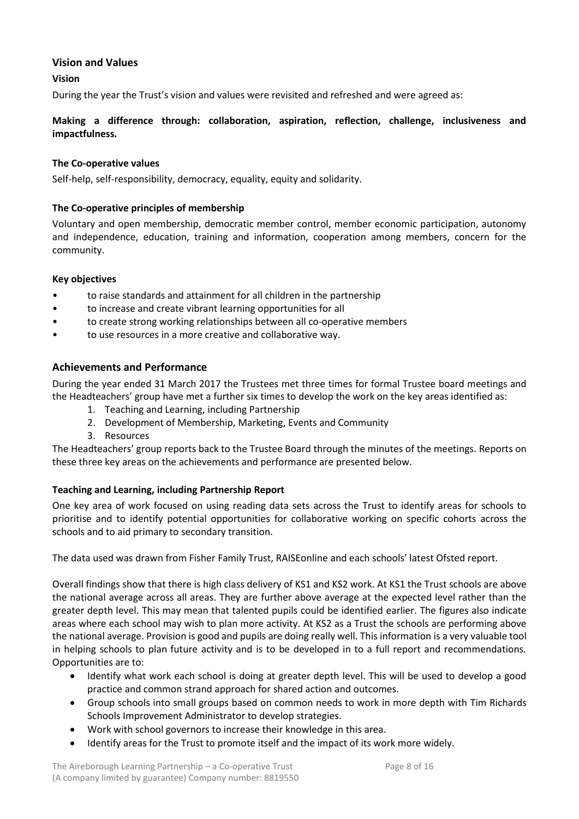#### <span id="page-7-0"></span>**Vision and Values**

#### <span id="page-7-1"></span>**Vision**

During the year the Trust's vision and values were revisited and refreshed and were agreed as:

#### **Making a difference through: collaboration, aspiration, reflection, challenge, inclusiveness and impactfulness.**

#### <span id="page-7-2"></span>**The Co-operative values**

Self-help, self-responsibility, democracy, equality, equity and solidarity.

#### <span id="page-7-3"></span>**The Co-operative principles of membership**

Voluntary and open membership, democratic member control, member economic participation, autonomy and independence, education, training and information, cooperation among members, concern for the community.

#### <span id="page-7-4"></span>**Key objectives**

- to raise standards and attainment for all children in the partnership
- to increase and create vibrant learning opportunities for all
- to create strong working relationships between all co-operative members
- to use resources in a more creative and collaborative way.

#### <span id="page-7-5"></span>**Achievements and Performance**

During the year ended 31 March 2017 the Trustees met three times for formal Trustee board meetings and the Headteachers' group have met a further six times to develop the work on the key areas identified as:

- 1. Teaching and Learning, including Partnership
- 2. Development of Membership, Marketing, Events and Community
- 3. Resources

The Headteachers' group reports back to the Trustee Board through the minutes of the meetings. Reports on these three key areas on the achievements and performance are presented below.

#### <span id="page-7-6"></span>**Teaching and Learning, including Partnership Report**

One key area of work focused on using reading data sets across the Trust to identify areas for schools to prioritise and to identify potential opportunities for collaborative working on specific cohorts across the schools and to aid primary to secondary transition.

The data used was drawn from Fisher Family Trust, RAISEonline and each schools' latest Ofsted report.

Overall findings show that there is high class delivery of KS1 and KS2 work. At KS1 the Trust schools are above the national average across all areas. They are further above average at the expected level rather than the greater depth level. This may mean that talented pupils could be identified earlier. The figures also indicate areas where each school may wish to plan more activity. At KS2 as a Trust the schools are performing above the national average. Provision is good and pupils are doing really well. This information is a very valuable tool in helping schools to plan future activity and is to be developed in to a full report and recommendations. Opportunities are to:

- Identify what work each school is doing at greater depth level. This will be used to develop a good practice and common strand approach for shared action and outcomes.
- Group schools into small groups based on common needs to work in more depth with Tim Richards Schools Improvement Administrator to develop strategies.
- Work with school governors to increase their knowledge in this area.
- Identify areas for the Trust to promote itself and the impact of its work more widely.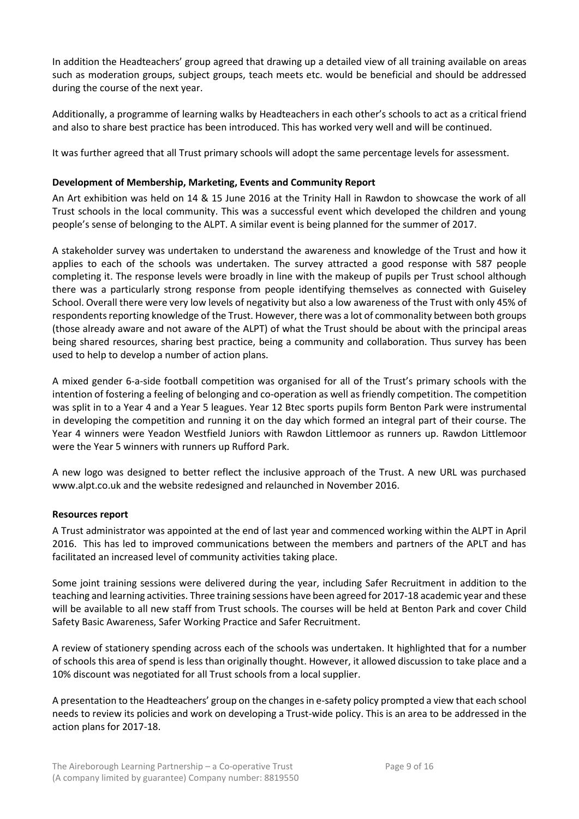In addition the Headteachers' group agreed that drawing up a detailed view of all training available on areas such as moderation groups, subject groups, teach meets etc. would be beneficial and should be addressed during the course of the next year.

Additionally, a programme of learning walks by Headteachers in each other's schools to act as a critical friend and also to share best practice has been introduced. This has worked very well and will be continued.

It was further agreed that all Trust primary schools will adopt the same percentage levels for assessment.

#### <span id="page-8-0"></span>**Development of Membership, Marketing, Events and Community Report**

An Art exhibition was held on 14 & 15 June 2016 at the Trinity Hall in Rawdon to showcase the work of all Trust schools in the local community. This was a successful event which developed the children and young people's sense of belonging to the ALPT. A similar event is being planned for the summer of 2017.

A stakeholder survey was undertaken to understand the awareness and knowledge of the Trust and how it applies to each of the schools was undertaken. The survey attracted a good response with 587 people completing it. The response levels were broadly in line with the makeup of pupils per Trust school although there was a particularly strong response from people identifying themselves as connected with Guiseley School. Overall there were very low levels of negativity but also a low awareness of the Trust with only 45% of respondents reporting knowledge of the Trust. However, there was a lot of commonality between both groups (those already aware and not aware of the ALPT) of what the Trust should be about with the principal areas being shared resources, sharing best practice, being a community and collaboration. Thus survey has been used to help to develop a number of action plans.

A mixed gender 6-a-side football competition was organised for all of the Trust's primary schools with the intention of fostering a feeling of belonging and co-operation as well as friendly competition. The competition was split in to a Year 4 and a Year 5 leagues. Year 12 Btec sports pupils form Benton Park were instrumental in developing the competition and running it on the day which formed an integral part of their course. The Year 4 winners were Yeadon Westfield Juniors with Rawdon Littlemoor as runners up. Rawdon Littlemoor were the Year 5 winners with runners up Rufford Park.

A new logo was designed to better reflect the inclusive approach of the Trust. A new URL was purchased www.alpt.co.uk and the website redesigned and relaunched in November 2016.

#### <span id="page-8-1"></span>**Resources report**

A Trust administrator was appointed at the end of last year and commenced working within the ALPT in April 2016. This has led to improved communications between the members and partners of the APLT and has facilitated an increased level of community activities taking place.

Some joint training sessions were delivered during the year, including Safer Recruitment in addition to the teaching and learning activities. Three training sessions have been agreed for 2017-18 academic year and these will be available to all new staff from Trust schools. The courses will be held at Benton Park and cover Child Safety Basic Awareness, Safer Working Practice and Safer Recruitment.

A review of stationery spending across each of the schools was undertaken. It highlighted that for a number of schools this area of spend is less than originally thought. However, it allowed discussion to take place and a 10% discount was negotiated for all Trust schools from a local supplier.

A presentation to the Headteachers' group on the changes in e-safety policy prompted a view that each school needs to review its policies and work on developing a Trust-wide policy. This is an area to be addressed in the action plans for 2017-18.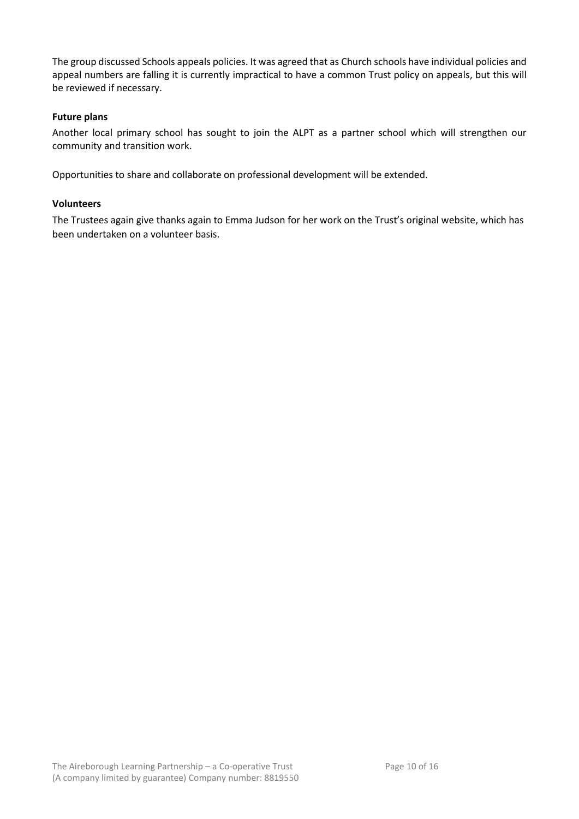The group discussed Schools appeals policies. It was agreed that as Church schools have individual policies and appeal numbers are falling it is currently impractical to have a common Trust policy on appeals, but this will be reviewed if necessary.

#### <span id="page-9-0"></span>**Future plans**

<span id="page-9-1"></span>Another local primary school has sought to join the ALPT as a partner school which will strengthen our community and transition work.

Opportunities to share and collaborate on professional development will be extended.

#### <span id="page-9-2"></span>**Volunteers**

The Trustees again give thanks again to Emma Judson for her work on the Trust's original website, which has been undertaken on a volunteer basis.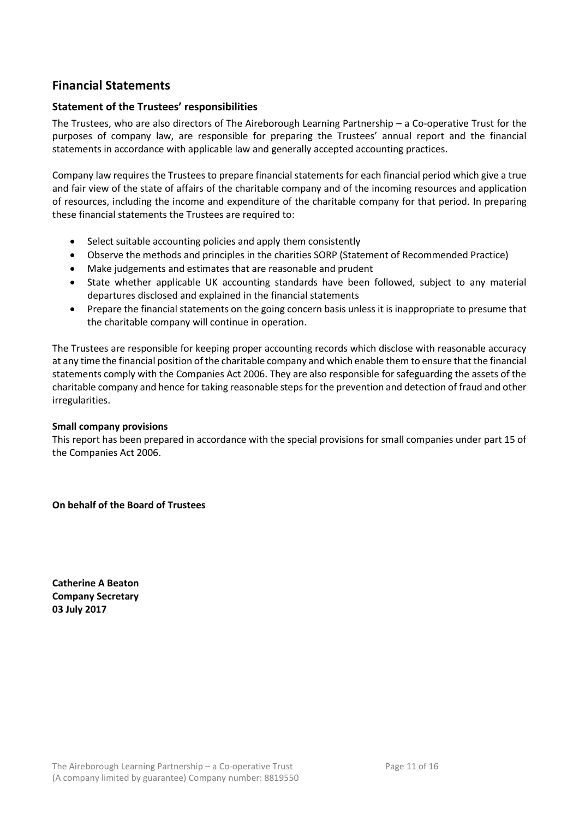### <span id="page-10-0"></span>**Financial Statements**

#### <span id="page-10-1"></span>**Statement of the Trustees' responsibilities**

The Trustees, who are also directors of The Aireborough Learning Partnership – a Co-operative Trust for the purposes of company law, are responsible for preparing the Trustees' annual report and the financial statements in accordance with applicable law and generally accepted accounting practices.

Company law requires the Trustees to prepare financial statements for each financial period which give a true and fair view of the state of affairs of the charitable company and of the incoming resources and application of resources, including the income and expenditure of the charitable company for that period. In preparing these financial statements the Trustees are required to:

- Select suitable accounting policies and apply them consistently
- Observe the methods and principles in the charities SORP (Statement of Recommended Practice)
- Make judgements and estimates that are reasonable and prudent
- State whether applicable UK accounting standards have been followed, subject to any material departures disclosed and explained in the financial statements
- Prepare the financial statements on the going concern basis unless it is inappropriate to presume that the charitable company will continue in operation.

The Trustees are responsible for keeping proper accounting records which disclose with reasonable accuracy at any time the financial position of the charitable company and which enable them to ensure that the financial statements comply with the Companies Act 2006. They are also responsible for safeguarding the assets of the charitable company and hence for taking reasonable steps for the prevention and detection of fraud and other irregularities.

#### **Small company provisions**

This report has been prepared in accordance with the special provisions for small companies under part 15 of the Companies Act 2006.

**On behalf of the Board of Trustees**

**Catherine A Beaton Company Secretary 03 July 2017**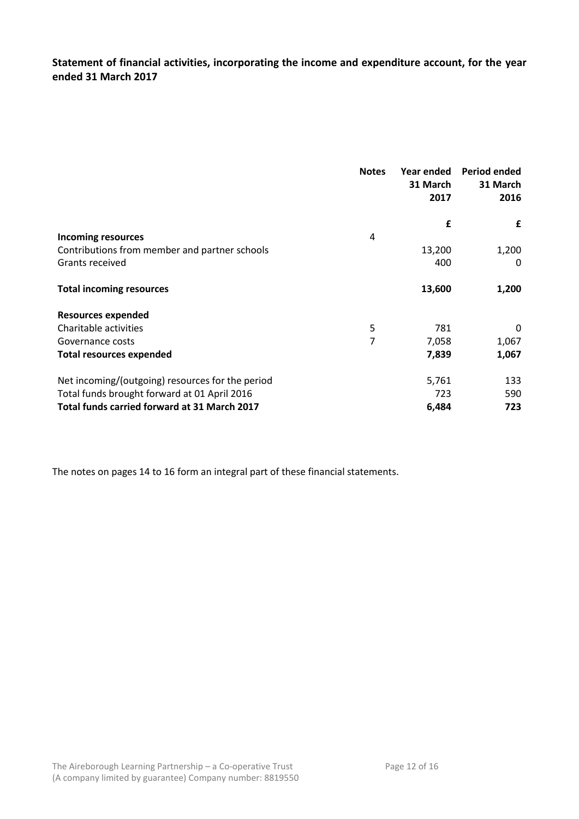<span id="page-11-0"></span>**Statement of financial activities, incorporating the income and expenditure account, for the year ended 31 March 2017**

|                                                  | <b>Notes</b>   | Year ended<br>31 March | Period ended<br>31 March |
|--------------------------------------------------|----------------|------------------------|--------------------------|
|                                                  |                | 2017                   | 2016                     |
|                                                  |                | £                      | £                        |
| <b>Incoming resources</b>                        | 4              |                        |                          |
| Contributions from member and partner schools    |                | 13,200                 | 1,200                    |
| Grants received                                  |                | 400                    | $\Omega$                 |
| <b>Total incoming resources</b>                  |                | 13,600                 | 1,200                    |
| <b>Resources expended</b>                        |                |                        |                          |
| Charitable activities                            | 5              | 781                    | 0                        |
| Governance costs                                 | $\overline{7}$ | 7,058                  | 1,067                    |
| <b>Total resources expended</b>                  |                | 7,839                  | 1,067                    |
| Net incoming/(outgoing) resources for the period |                | 5,761                  | 133                      |
| Total funds brought forward at 01 April 2016     |                | 723                    | 590                      |
| Total funds carried forward at 31 March 2017     |                | 6,484                  | 723                      |

The notes on pages 14 to 16 form an integral part of these financial statements.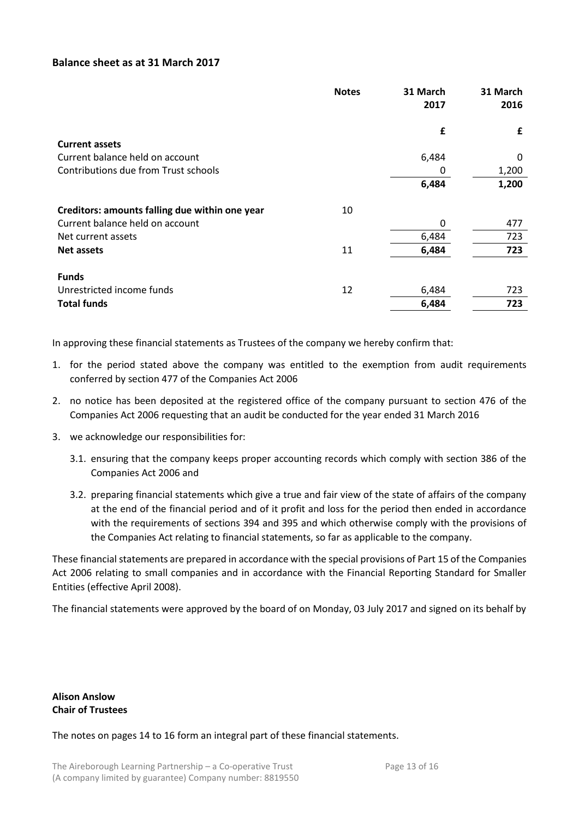#### <span id="page-12-0"></span>**Balance sheet as at 31 March 2017**

|                                                | <b>Notes</b> | 31 March<br>2017 | 31 March<br>2016 |
|------------------------------------------------|--------------|------------------|------------------|
|                                                |              | £                | £                |
| <b>Current assets</b>                          |              |                  |                  |
| Current balance held on account                |              | 6,484            | 0                |
| <b>Contributions due from Trust schools</b>    |              | 0                | 1,200            |
|                                                |              | 6,484            | 1,200            |
| Creditors: amounts falling due within one year | 10           |                  |                  |
| Current balance held on account                |              | 0                | 477              |
| Net current assets                             |              | 6,484            | 723              |
| <b>Net assets</b>                              | 11           | 6,484            | 723              |
| <b>Funds</b>                                   |              |                  |                  |
| Unrestricted income funds                      | 12           | 6,484            | 723              |
| <b>Total funds</b>                             |              | 6,484            | 723              |

In approving these financial statements as Trustees of the company we hereby confirm that:

- 1. for the period stated above the company was entitled to the exemption from audit requirements conferred by section 477 of the Companies Act 2006
- 2. no notice has been deposited at the registered office of the company pursuant to section 476 of the Companies Act 2006 requesting that an audit be conducted for the year ended 31 March 2016
- 3. we acknowledge our responsibilities for:
	- 3.1. ensuring that the company keeps proper accounting records which comply with section 386 of the Companies Act 2006 and
	- 3.2. preparing financial statements which give a true and fair view of the state of affairs of the company at the end of the financial period and of it profit and loss for the period then ended in accordance with the requirements of sections 394 and 395 and which otherwise comply with the provisions of the Companies Act relating to financial statements, so far as applicable to the company.

These financial statements are prepared in accordance with the special provisions of Part 15 of the Companies Act 2006 relating to small companies and in accordance with the Financial Reporting Standard for Smaller Entities (effective April 2008).

The financial statements were approved by the board of on Monday, 03 July 2017 and signed on its behalf by

#### **Alison Anslow Chair of Trustees**

The notes on pages 14 to 16 form an integral part of these financial statements.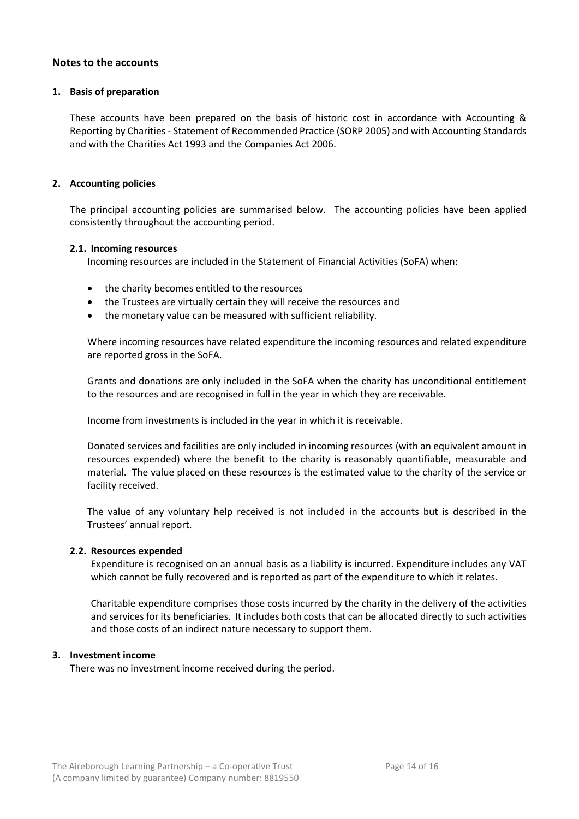#### <span id="page-13-0"></span>**Notes to the accounts**

#### **1. Basis of preparation**

These accounts have been prepared on the basis of historic cost in accordance with Accounting & Reporting by Charities - Statement of Recommended Practice (SORP 2005) and with Accounting Standards and with the Charities Act 1993 and the Companies Act 2006.

#### **2. Accounting policies**

The principal accounting policies are summarised below. The accounting policies have been applied consistently throughout the accounting period.

#### **2.1. Incoming resources**

Incoming resources are included in the Statement of Financial Activities (SoFA) when:

- the charity becomes entitled to the resources
- the Trustees are virtually certain they will receive the resources and
- the monetary value can be measured with sufficient reliability.

Where incoming resources have related expenditure the incoming resources and related expenditure are reported gross in the SoFA.

Grants and donations are only included in the SoFA when the charity has unconditional entitlement to the resources and are recognised in full in the year in which they are receivable.

Income from investments is included in the year in which it is receivable.

Donated services and facilities are only included in incoming resources (with an equivalent amount in resources expended) where the benefit to the charity is reasonably quantifiable, measurable and material. The value placed on these resources is the estimated value to the charity of the service or facility received.

The value of any voluntary help received is not included in the accounts but is described in the Trustees' annual report.

#### **2.2. Resources expended**

Expenditure is recognised on an annual basis as a liability is incurred. Expenditure includes any VAT which cannot be fully recovered and is reported as part of the expenditure to which it relates.

Charitable expenditure comprises those costs incurred by the charity in the delivery of the activities and services for its beneficiaries. It includes both costs that can be allocated directly to such activities and those costs of an indirect nature necessary to support them.

#### **3. Investment income**

There was no investment income received during the period.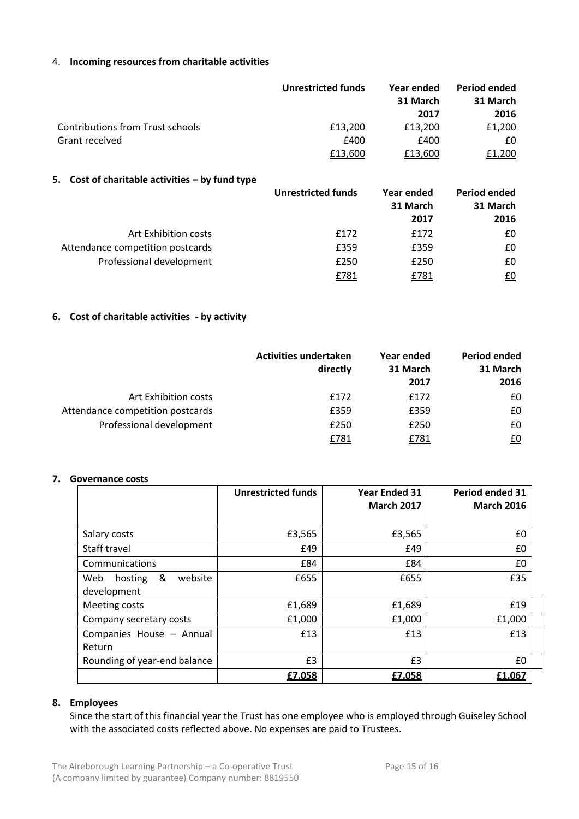#### 4. **Incoming resources from charitable activities**

|                                         | Unrestricted funds | Year ended<br>31 March | <b>Period ended</b><br>31 March |
|-----------------------------------------|--------------------|------------------------|---------------------------------|
|                                         |                    | 2017                   | 2016                            |
| <b>Contributions from Trust schools</b> | £13.200            | £13,200                | £1,200                          |
| Grant received                          | £400               | £400                   | £0                              |
|                                         | £13.600            | £13.600                | £1.200                          |

#### **5. Cost of charitable activities – by fund type**

|                                  | <b>Unrestricted funds</b><br>Year ended |          | Period ended |
|----------------------------------|-----------------------------------------|----------|--------------|
|                                  |                                         | 31 March | 31 March     |
|                                  |                                         | 2017     | 2016         |
| Art Exhibition costs             | £172                                    | £172     | £0           |
| Attendance competition postcards | £359                                    | £359     | £0           |
| Professional development         | £250                                    | £250     | £0           |
|                                  | <u>£781</u>                             | £781     | £0           |

#### **6. Cost of charitable activities - by activity**

|                                  | <b>Activities undertaken</b><br>directly | Year ended<br>31 March<br>2017 | Period ended<br>31 March<br>2016 |
|----------------------------------|------------------------------------------|--------------------------------|----------------------------------|
| Art Exhibition costs             | £172                                     | £172                           | £0                               |
| Attendance competition postcards | £359                                     | £359                           | £0                               |
| Professional development         | £250                                     | £250                           | £0                               |
|                                  | £781                                     | <u>£781</u>                    | £0                               |

#### **7. Governance costs**

|                                | Unrestricted funds | <b>Year Ended 31</b> | Period ended 31   |
|--------------------------------|--------------------|----------------------|-------------------|
|                                |                    | <b>March 2017</b>    | <b>March 2016</b> |
| Salary costs                   | £3,565             | £3,565               | £0                |
| Staff travel                   | £49                | £49                  | £0                |
| Communications                 | £84                | £84                  | £0                |
| &<br>Web<br>website<br>hosting | £655               | £655                 | £35               |
| development                    |                    |                      |                   |
| Meeting costs                  | £1,689             | £1,689               | £19               |
| Company secretary costs        | £1,000             | £1,000               | £1,000            |
| Companies House - Annual       | £13                | £13                  | £13               |
| Return                         |                    |                      |                   |
| Rounding of year-end balance   | £3                 | £3                   | £0                |
|                                | £7,058             | £7,058               | £1,067            |

#### **8. Employees**

Since the start of this financial year the Trust has one employee who is employed through Guiseley School with the associated costs reflected above. No expenses are paid to Trustees.